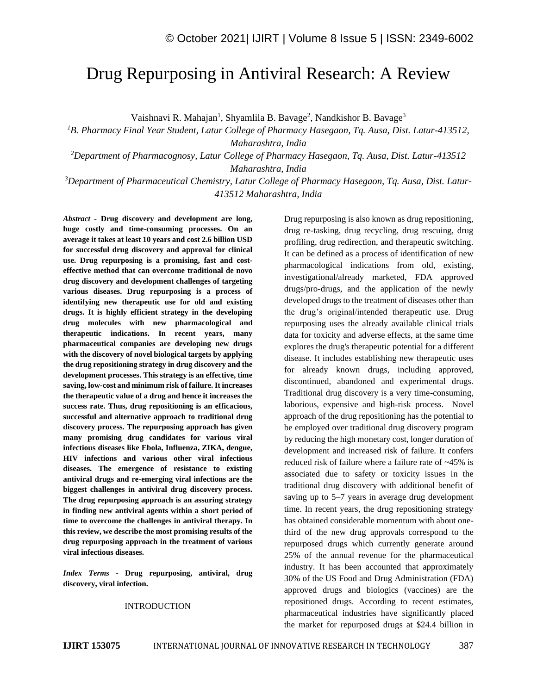# Drug Repurposing in Antiviral Research: A Review

Vaishnavi R. Mahajan<sup>1</sup>, Shyamlila B. Bavage<sup>2</sup>, Nandkishor B. Bavage<sup>3</sup>

*<sup>1</sup>B. Pharmacy Final Year Student, Latur College of Pharmacy Hasegaon, Tq. Ausa, Dist. Latur-413512, Maharashtra, India*

*<sup>2</sup>Department of Pharmacognosy, Latur College of Pharmacy Hasegaon, Tq. Ausa, Dist. Latur-413512 Maharashtra, India*

*<sup>3</sup>Department of Pharmaceutical Chemistry, Latur College of Pharmacy Hasegaon, Tq. Ausa, Dist. Latur-413512 Maharashtra, India*

*Abstract -* **Drug discovery and development are long, huge costly and time-consuming processes. On an average it takes at least 10 years and cost 2.6 billion USD for successful drug discovery and approval for clinical use. Drug repurposing is a promising, fast and costeffective method that can overcome traditional de novo drug discovery and development challenges of targeting various diseases. Drug repurposing is a process of identifying new therapeutic use for old and existing drugs. It is highly efficient strategy in the developing drug molecules with new pharmacological and therapeutic indications. In recent years, many pharmaceutical companies are developing new drugs with the discovery of novel biological targets by applying the drug repositioning strategy in drug discovery and the development processes. This strategy is an effective, time saving, low-cost and minimum risk of failure. It increases the therapeutic value of a drug and hence it increases the success rate. Thus, drug repositioning is an efficacious, successful and alternative approach to traditional drug discovery process. The repurposing approach has given many promising drug candidates for various viral infectious diseases like Ebola, Influenza, ZIKA, dengue, HIV infections and various other viral infectious diseases. The emergence of resistance to existing antiviral drugs and re-emerging viral infections are the biggest challenges in antiviral drug discovery process. The drug repurposing approach is an assuring strategy in finding new antiviral agents within a short period of time to overcome the challenges in antiviral therapy. In this review, we describe the most promising results of the drug repurposing approach in the treatment of various viral infectious diseases.**

*Index Terms -* **Drug repurposing, antiviral, drug discovery, viral infection.**

#### INTRODUCTION

Drug repurposing is also known as drug repositioning, drug re-tasking, drug recycling, drug rescuing, drug profiling, drug redirection, and therapeutic switching. It can be defined as a process of identification of new pharmacological indications from old, existing, investigational/already marketed, FDA approved drugs/pro-drugs, and the application of the newly developed drugs to the treatment of diseases other than the drug's original/intended therapeutic use. Drug repurposing uses the already available clinical trials data for toxicity and adverse effects, at the same time explores the drug's therapeutic potential for a different disease. It includes establishing new therapeutic uses for already known drugs, including approved, discontinued, abandoned and experimental drugs. Traditional drug discovery is a very time-consuming, laborious, expensive and high-risk process. Novel approach of the drug repositioning has the potential to be employed over traditional drug discovery program by reducing the high monetary cost, longer duration of development and increased risk of failure. It confers reduced risk of failure where a failure rate of ~45% is associated due to safety or toxicity issues in the traditional drug discovery with additional benefit of saving up to 5–7 years in average drug development time. In recent years, the drug repositioning strategy has obtained considerable momentum with about onethird of the new drug approvals correspond to the repurposed drugs which currently generate around 25% of the annual revenue for the pharmaceutical industry. It has been accounted that approximately 30% of the US Food and Drug Administration (FDA) approved drugs and biologics (vaccines) are the repositioned drugs. According to recent estimates, pharmaceutical industries have significantly placed the market for repurposed drugs at \$24.4 billion in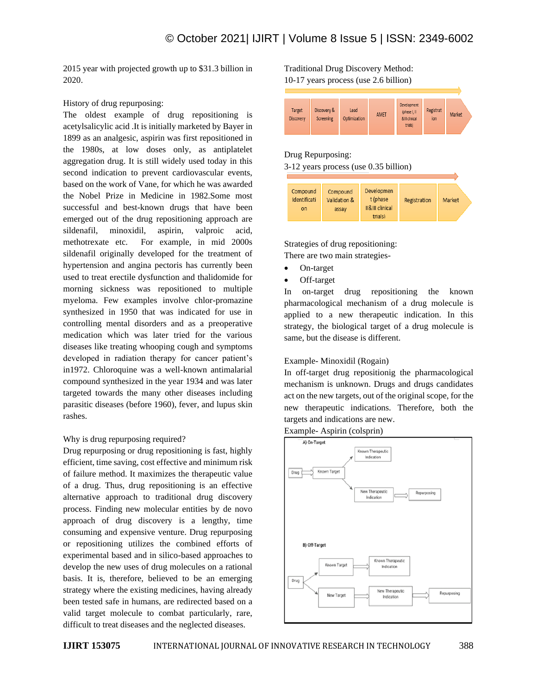2015 year with projected growth up to \$31.3 billion in 2020.

History of drug repurposing:

The oldest example of drug repositioning is acetylsalicylic acid .It is initially marketed by Bayer in 1899 as an analgesic, aspirin was first repositioned in the 1980s, at low doses only, as antiplatelet aggregation drug. It is still widely used today in this second indication to prevent cardiovascular events, based on the work of Vane, for which he was awarded the Nobel Prize in Medicine in 1982.Some most successful and best-known drugs that have been emerged out of the drug repositioning approach are sildenafil, minoxidil, aspirin, valproic acid, methotrexate etc. For example, in mid 2000s sildenafil originally developed for the treatment of hypertension and angina pectoris has currently been used to treat erectile dysfunction and thalidomide for morning sickness was repositioned to multiple myeloma. Few examples involve chlor-promazine synthesized in 1950 that was indicated for use in controlling mental disorders and as a preoperative medication which was later tried for the various diseases like treating whooping cough and symptoms developed in radiation therapy for cancer patient's in1972. Chloroquine was a well-known antimalarial compound synthesized in the year 1934 and was later targeted towards the many other diseases including parasitic diseases (before 1960), fever, and lupus skin rashes.

## Why is drug repurposing required?

Drug repurposing or drug repositioning is fast, highly efficient, time saving, cost effective and minimum risk of failure method. It maximizes the therapeutic value of a drug. Thus, drug repositioning is an effective alternative approach to traditional drug discovery process. Finding new molecular entities by de novo approach of drug discovery is a lengthy, time consuming and expensive venture. Drug repurposing or repositioning utilizes the combined efforts of experimental based and in silico-based approaches to develop the new uses of drug molecules on a rational basis. It is, therefore, believed to be an emerging strategy where the existing medicines, having already been tested safe in humans, are redirected based on a valid target molecule to combat particularly, rare, difficult to treat diseases and the neglected diseases.

# Traditional Drug Discovery Method:

10-17 years process (use 2.6 billion)



#### Drug Repurposing:

3-12 years process (use 0.35 billion)

| Compound     | Compound     | Developmen      |              |        |
|--------------|--------------|-----------------|--------------|--------|
| Identificati | Validation & | t (phase        | Registration | Market |
| on           | assay        | II&III clinical |              |        |
|              |              | trials)         |              |        |

Strategies of drug repositioning: There are two main strategies-

- On-target
- Off-target

In on-target drug repositioning the known pharmacological mechanism of a drug molecule is applied to a new therapeutic indication. In this strategy, the biological target of a drug molecule is same, but the disease is different.

## Example- Minoxidil (Rogain)

In off-target drug repositionig the pharmacological mechanism is unknown. Drugs and drugs candidates act on the new targets, out of the original scope, for the new therapeutic indications. Therefore, both the targets and indications are new.



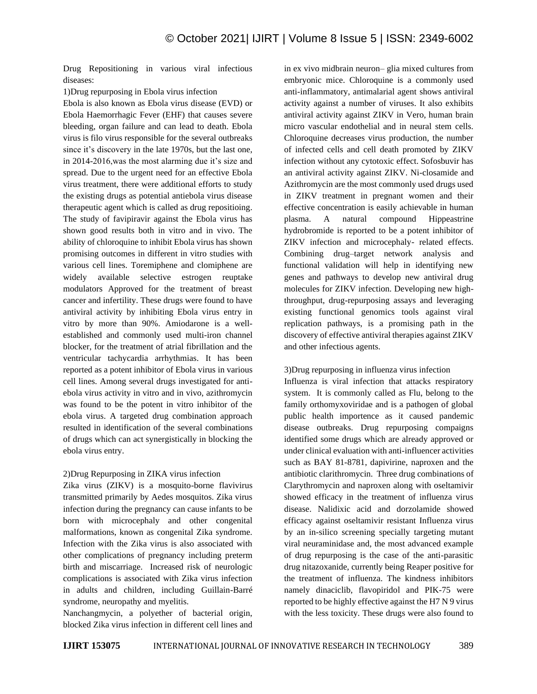Drug Repositioning in various viral infectious diseases:

1)Drug repurposing in Ebola virus infection

Ebola is also known as Ebola virus disease (EVD) or Ebola Haemorrhagic Fever (EHF) that causes severe bleeding, organ failure and can lead to death. Ebola virus is filo virus responsible for the several outbreaks since it's discovery in the late 1970s, but the last one, in 2014-2016,was the most alarming due it's size and spread. Due to the urgent need for an effective Ebola virus treatment, there were additional efforts to study the existing drugs as potential antiebola virus disease therapeutic agent which is called as drug repositioing. The study of favipiravir against the Ebola virus has shown good results both in vitro and in vivo. The ability of chloroquine to inhibit Ebola virus has shown promising outcomes in different in vitro studies with various cell lines. Toremiphene and clomiphene are widely available selective estrogen reuptake modulators Approved for the treatment of breast cancer and infertility. These drugs were found to have antiviral activity by inhibiting Ebola virus entry in vitro by more than 90%. Amiodarone is a wellestablished and commonly used multi-iron channel blocker, for the treatment of atrial fibrillation and the ventricular tachycardia arrhythmias. It has been reported as a potent inhibitor of Ebola virus in various cell lines. Among several drugs investigated for antiebola virus activity in vitro and in vivo, azithromycin was found to be the potent in vitro inhibitor of the ebola virus. A targeted drug combination approach resulted in identification of the several combinations of drugs which can act synergistically in blocking the ebola virus entry.

## 2)Drug Repurposing in ZIKA virus infection

Zika virus (ZIKV) is a mosquito-borne flavivirus transmitted primarily by Aedes mosquitos. Zika virus infection during the pregnancy can cause infants to be born with microcephaly and other congenital malformations, known as congenital Zika syndrome. Infection with the Zika virus is also associated with other complications of pregnancy including preterm birth and miscarriage. Increased risk of neurologic complications is associated with Zika virus infection in adults and children, including Guillain-Barré syndrome, neuropathy and myelitis.

Nanchangmycin, a polyether of bacterial origin, blocked Zika virus infection in different cell lines and in ex vivo midbrain neuron– glia mixed cultures from embryonic mice. Chloroquine is a commonly used anti-inflammatory, antimalarial agent shows antiviral activity against a number of viruses. It also exhibits antiviral activity against ZIKV in Vero, human brain micro vascular endothelial and in neural stem cells. Chloroquine decreases virus production, the number of infected cells and cell death promoted by ZIKV infection without any cytotoxic effect. Sofosbuvir has an antiviral activity against ZIKV. Ni-closamide and Azithromycin are the most commonly used drugs used in ZIKV treatment in pregnant women and their effective concentration is easily achievable in human plasma. A natural compound Hippeastrine hydrobromide is reported to be a potent inhibitor of ZIKV infection and microcephaly- related effects. Combining drug–target network analysis and functional validation will help in identifying new genes and pathways to develop new antiviral drug molecules for ZIKV infection. Developing new highthroughput, drug-repurposing assays and leveraging existing functional genomics tools against viral replication pathways, is a promising path in the discovery of effective antiviral therapies against ZIKV and other infectious agents.

#### 3)Drug repurposing in influenza virus infection

Influenza is viral infection that attacks respiratory system. It is commonly called as Flu, belong to the family orthomyxoviridae and is a pathogen of global public health importence as it caused pandemic disease outbreaks. Drug repurposing compaigns identified some drugs which are already approved or under clinical evaluation with anti-influencer activities such as BAY 81-8781, dapivirine, naproxen and the antibiotic clarithromycin. Three drug combinations of Clarythromycin and naproxen along with oseltamivir showed efficacy in the treatment of influenza virus disease. Nalidixic acid and dorzolamide showed efficacy against oseltamivir resistant Influenza virus by an in-silico screening specially targeting mutant viral neuraminidase and, the most advanced example of drug repurposing is the case of the anti-parasitic drug nitazoxanide, currently being Reaper positive for the treatment of influenza. The kindness inhibitors namely dinaciclib, flavopiridol and PIK-75 were reported to be highly effective against the H7 N 9 virus with the less toxicity. These drugs were also found to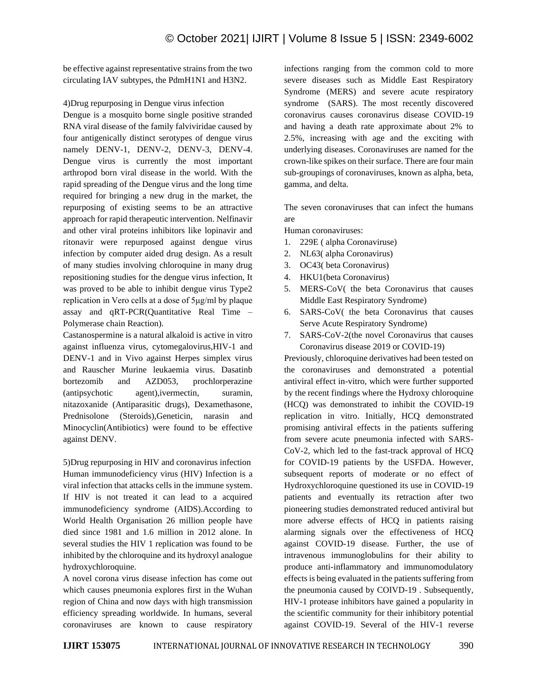be effective against representative strains from the two circulating IAV subtypes, the PdmH1N1 and H3N2.

4)Drug repurposing in Dengue virus infection

Dengue is a mosquito borne single positive stranded RNA viral disease of the family falviviridae caused by four antigenically distinct serotypes of dengue virus namely DENV-1, DENV-2, DENV-3, DENV-4. Dengue virus is currently the most important arthropod born viral disease in the world. With the rapid spreading of the Dengue virus and the long time required for bringing a new drug in the market, the repurposing of existing seems to be an attractive approach for rapid therapeutic intervention. Nelfinavir and other viral proteins inhibitors like lopinavir and ritonavir were repurposed against dengue virus infection by computer aided drug design. As a result of many studies involving chloroquine in many drug repositioning studies for the dengue virus infection, It was proved to be able to inhibit dengue virus Type2 replication in Vero cells at a dose of 5μg/ml by plaque assay and qRT-PCR(Quantitative Real Time – Polymerase chain Reaction).

Castanospermine is a natural alkaloid is active in vitro against influenza virus, cytomegalovirus,HIV-1 and DENV-1 and in Vivo against Herpes simplex virus and Rauscher Murine leukaemia virus. Dasatinb bortezomib and AZD053, prochlorperazine (antipsychotic agent),ivermectin, suramin, nitazoxanide (Antiparasitic drugs), Dexamethasone, Prednisolone (Steroids),Geneticin, narasin and Minocyclin(Antibiotics) were found to be effective against DENV.

5)Drug repurposing in HIV and coronavirus infection Human immunodeficiency virus (HIV) Infection is a viral infection that attacks cells in the immune system. If HIV is not treated it can lead to a acquired immunodeficiency syndrome (AIDS).According to World Health Organisation 26 million people have died since 1981 and 1.6 million in 2012 alone. In several studies the HIV 1 replication was found to be inhibited by the chloroquine and its hydroxyl analogue hydroxychloroquine.

A novel corona virus disease infection has come out which causes pneumonia explores first in the Wuhan region of China and now days with high transmission efficiency spreading worldwide. In humans, several coronaviruses are known to cause respiratory infections ranging from the common cold to more severe diseases such as Middle East Respiratory Syndrome (MERS) and severe acute respiratory syndrome (SARS). The most recently discovered coronavirus causes coronavirus disease COVID-19 and having a death rate approximate about 2% to 2.5%, increasing with age and the exciting with underlying diseases. Coronaviruses are named for the crown-like spikes on their surface. There are four main sub-groupings of coronaviruses, known as alpha, beta, gamma, and delta.

The seven coronaviruses that can infect the humans are

Human coronaviruses:

- 1. 229E ( alpha Coronaviruse)
- 2. NL63( alpha Coronavirus)
- 3. OC43( beta Coronavirus)
- 4. HKU1(beta Coronavirus)
- 5. MERS-CoV( the beta Coronavirus that causes Middle East Respiratory Syndrome)
- 6. SARS-CoV( the beta Coronavirus that causes Serve Acute Respiratory Syndrome)
- 7. SARS-CoV-2(the novel Coronavirus that causes Coronavirus disease 2019 or COVID-19)

Previously, chloroquine derivatives had been tested on the coronaviruses and demonstrated a potential antiviral effect in-vitro, which were further supported by the recent findings where the Hydroxy chloroquine (HCQ) was demonstrated to inhibit the COVID-19 replication in vitro. Initially, HCQ demonstrated promising antiviral effects in the patients suffering from severe acute pneumonia infected with SARS-CoV-2, which led to the fast-track approval of HCQ for COVID-19 patients by the USFDA. However, subsequent reports of moderate or no effect of Hydroxychloroquine questioned its use in COVID-19 patients and eventually its retraction after two pioneering studies demonstrated reduced antiviral but more adverse effects of HCQ in patients raising alarming signals over the effectiveness of HCQ against COVID-19 disease. Further, the use of intravenous immunoglobulins for their ability to produce anti-inflammatory and immunomodulatory effects is being evaluated in the patients suffering from the pneumonia caused by COIVD-19 . Subsequently, HIV-1 protease inhibitors have gained a popularity in the scientific community for their inhibitory potential against COVID-19. Several of the HIV-1 reverse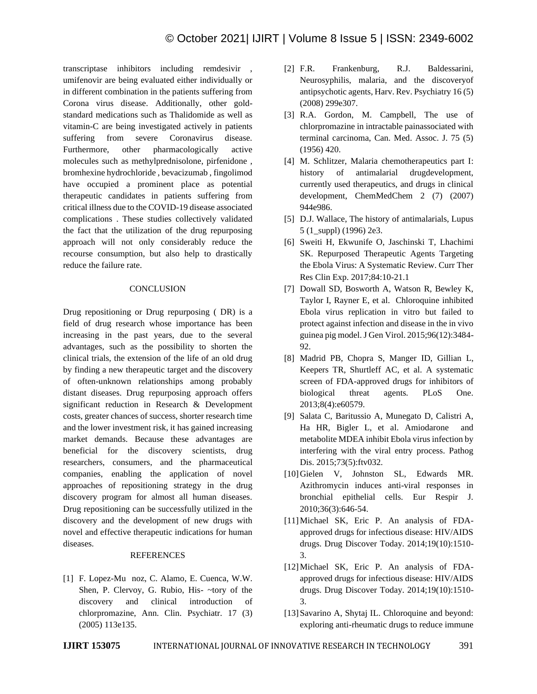transcriptase inhibitors including remdesivir , umifenovir are being evaluated either individually or in different combination in the patients suffering from Corona virus disease. Additionally, other goldstandard medications such as Thalidomide as well as vitamin-C are being investigated actively in patients suffering from severe Coronavirus disease. Furthermore, other pharmacologically active molecules such as methylprednisolone, pirfenidone , bromhexine hydrochloride , bevacizumab , fingolimod have occupied a prominent place as potential therapeutic candidates in patients suffering from critical illness due to the COVID-19 disease associated complications . These studies collectively validated the fact that the utilization of the drug repurposing approach will not only considerably reduce the recourse consumption, but also help to drastically reduce the failure rate.

## **CONCLUSION**

Drug repositioning or Drug repurposing ( DR) is a field of drug research whose importance has been increasing in the past years, due to the several advantages, such as the possibility to shorten the clinical trials, the extension of the life of an old drug by finding a new therapeutic target and the discovery of often-unknown relationships among probably distant diseases. Drug repurposing approach offers significant reduction in Research & Development costs, greater chances of success, shorter research time and the lower investment risk, it has gained increasing market demands. Because these advantages are beneficial for the discovery scientists, drug researchers, consumers, and the pharmaceutical companies, enabling the application of novel approaches of repositioning strategy in the drug discovery program for almost all human diseases. Drug repositioning can be successfully utilized in the discovery and the development of new drugs with novel and effective therapeutic indications for human diseases.

## REFERENCES

[1] F. Lopez-Mu noz, C. Alamo, E. Cuenca, W.W. Shen, P. Clervoy, G. Rubio, His- ~tory of the discovery and clinical introduction of chlorpromazine, Ann. Clin. Psychiatr. 17 (3) (2005) 113e135.

- [2] F.R. Frankenburg, R.J. Baldessarini, Neurosyphilis, malaria, and the discoveryof antipsychotic agents, Harv. Rev. Psychiatry 16 (5) (2008) 299e307.
- [3] R.A. Gordon, M. Campbell, The use of chlorpromazine in intractable painassociated with terminal carcinoma, Can. Med. Assoc. J. 75 (5) (1956) 420.
- [4] M. Schlitzer, Malaria chemotherapeutics part I: history of antimalarial drugdevelopment, currently used therapeutics, and drugs in clinical development, ChemMedChem 2 (7) (2007) 944e986.
- [5] D.J. Wallace, The history of antimalarials, Lupus 5 (1\_suppl) (1996) 2e3.
- [6] Sweiti H, Ekwunife O, Jaschinski T, Lhachimi SK. Repurposed Therapeutic Agents Targeting the Ebola Virus: A Systematic Review. Curr Ther Res Clin Exp. 2017;84:10-21.1
- [7] Dowall SD, Bosworth A, Watson R, Bewley K, Taylor I, Rayner E, et al. Chloroquine inhibited Ebola virus replication in vitro but failed to protect against infection and disease in the in vivo guinea pig model. J Gen Virol. 2015;96(12):3484- 92.
- [8] Madrid PB, Chopra S, Manger ID, Gillian L, Keepers TR, Shurtleff AC, et al. A systematic screen of FDA-approved drugs for inhibitors of biological threat agents. PLoS One. 2013;8(4):e60579.
- [9] Salata C, Baritussio A, Munegato D, Calistri A, Ha HR, Bigler L, et al. Amiodarone and metabolite MDEA inhibit Ebola virus infection by interfering with the viral entry process. Pathog Dis. 2015;73(5):ftv032.
- [10]Gielen V, Johnston SL, Edwards MR. Azithromycin induces anti-viral responses in bronchial epithelial cells. Eur Respir J. 2010;36(3):646-54.
- [11] Michael SK, Eric P. An analysis of FDAapproved drugs for infectious disease: HIV/AIDS drugs. Drug Discover Today. 2014;19(10):1510- 3.
- [12] Michael SK, Eric P. An analysis of FDAapproved drugs for infectious disease: HIV/AIDS drugs. Drug Discover Today. 2014;19(10):1510- 3.
- [13] Savarino A, Shytaj IL. Chloroquine and beyond: exploring anti-rheumatic drugs to reduce immune